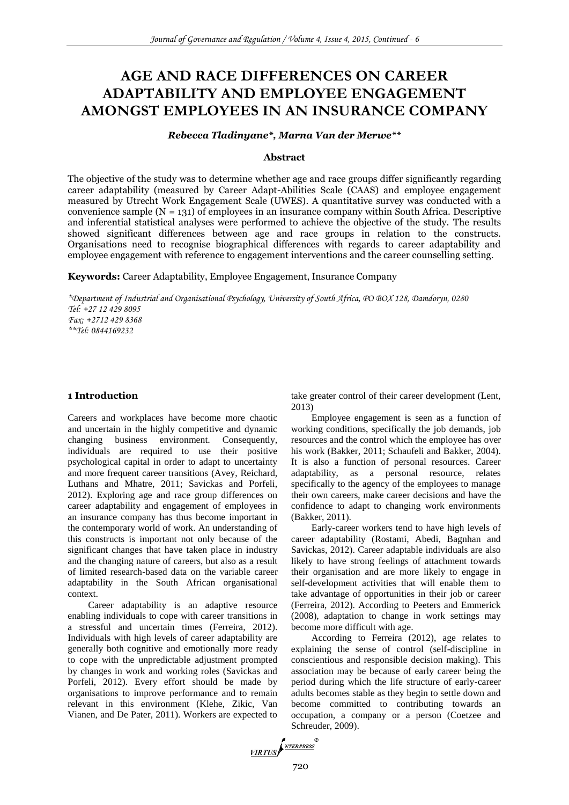# **AGE AND RACE DIFFERENCES ON CAREER ADAPTABILITY AND EMPLOYEE ENGAGEMENT AMONGST EMPLOYEES IN AN INSURANCE COMPANY**

*Rebecca Tladinyane\*, Marna Van der Merwe\*\**

# **Abstract**

The objective of the study was to determine whether age and race groups differ significantly regarding career adaptability (measured by Career Adapt-Abilities Scale (CAAS) and employee engagement measured by Utrecht Work Engagement Scale (UWES). A quantitative survey was conducted with a convenience sample  $(N = 131)$  of employees in an insurance company within South Africa. Descriptive and inferential statistical analyses were performed to achieve the objective of the study. The results showed significant differences between age and race groups in relation to the constructs. Organisations need to recognise biographical differences with regards to career adaptability and employee engagement with reference to engagement interventions and the career counselling setting.

**Keywords:** Career Adaptability, Employee Engagement, Insurance Company

*\*Department of Industrial and Organisational Psychology, University of South Africa, PO BOX 128, Damdoryn, 0280 Tel: +27 12 429 8095 Fax: +2712 429 8368 \*\*Tel: 0844169232*

# **1 Introduction**

Careers and workplaces have become more chaotic and uncertain in the highly competitive and dynamic changing business environment. Consequently, individuals are required to use their positive psychological capital in order to adapt to uncertainty and more frequent career transitions (Avey, Reichard, Luthans and Mhatre, 2011; Savickas and Porfeli, 2012). Exploring age and race group differences on career adaptability and engagement of employees in an insurance company has thus become important in the contemporary world of work. An understanding of this constructs is important not only because of the significant changes that have taken place in industry and the changing nature of careers, but also as a result of limited research-based data on the variable career adaptability in the South African organisational context.

Career adaptability is an adaptive resource enabling individuals to cope with career transitions in a stressful and uncertain times (Ferreira, 2012). Individuals with high levels of career adaptability are generally both cognitive and emotionally more ready to cope with the unpredictable adjustment prompted by changes in work and working roles (Savickas and Porfeli, 2012). Every effort should be made by organisations to improve performance and to remain relevant in this environment (Klehe, Zikic, Van Vianen, and De Pater, 2011). Workers are expected to

take greater control of their career development (Lent, 2013)

Employee engagement is seen as a function of working conditions, specifically the job demands, job resources and the control which the employee has over his work (Bakker, 2011; Schaufeli and Bakker, 2004). It is also a function of personal resources. Career adaptability, as a personal resource, relates specifically to the agency of the employees to manage their own careers, make career decisions and have the confidence to adapt to changing work environments (Bakker, 2011).

Early-career workers tend to have high levels of career adaptability (Rostami, Abedi, Bagnhan and Savickas, 2012). Career adaptable individuals are also likely to have strong feelings of attachment towards their organisation and are more likely to engage in self-development activities that will enable them to take advantage of opportunities in their job or career (Ferreira, 2012). According to Peeters and Emmerick (2008), adaptation to change in work settings may become more difficult with age.

According to Ferreira (2012), age relates to explaining the sense of control (self-discipline in conscientious and responsible decision making). This association may be because of early career being the period during which the life structure of early-career adults becomes stable as they begin to settle down and become committed to contributing towards an occupation, a company or a person (Coetzee and Schreuder, 2009).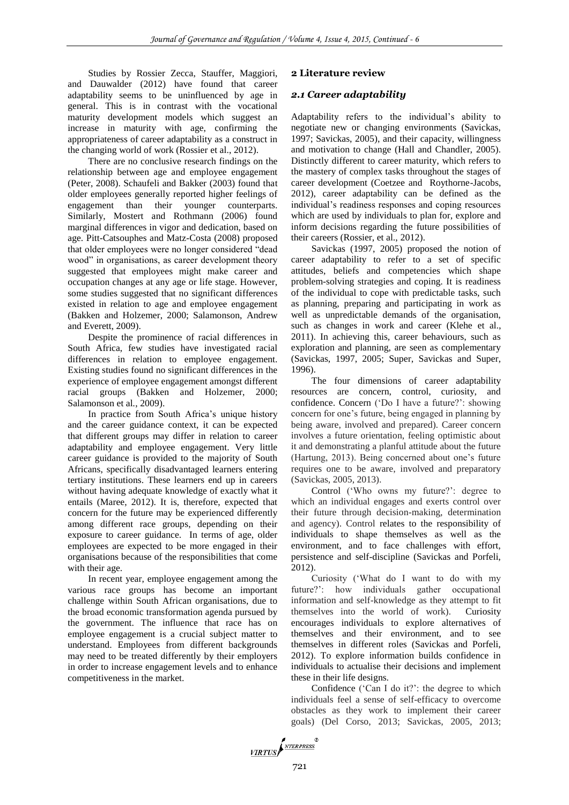Studies by Rossier Zecca, Stauffer, Maggiori, and Dauwalder (2012) have found that career adaptability seems to be uninfluenced by age in general. This is in contrast with the vocational maturity development models which suggest an increase in maturity with age, confirming the appropriateness of career adaptability as a construct in the changing world of work (Rossier et al., 2012).

There are no conclusive research findings on the relationship between age and employee engagement (Peter, 2008). Schaufeli and Bakker (2003) found that older employees generally reported higher feelings of engagement than their younger counterparts. Similarly, Mostert and Rothmann (2006) found marginal differences in vigor and dedication, based on age. Pitt-Catsouphes and Matz-Costa (2008) proposed that older employees were no longer considered "dead wood" in organisations, as career development theory suggested that employees might make career and occupation changes at any age or life stage. However, some studies suggested that no significant differences existed in relation to age and employee engagement (Bakken and Holzemer, 2000; Salamonson, Andrew and Everett, 2009).

Despite the prominence of racial differences in South Africa, few studies have investigated racial differences in relation to employee engagement. Existing studies found no significant differences in the experience of employee engagement amongst different racial groups (Bakken and Holzemer, 2000; Salamonson et al*.*, 2009).

In practice from South Africa's unique history and the career guidance context, it can be expected that different groups may differ in relation to career adaptability and employee engagement. Very little career guidance is provided to the majority of South Africans, specifically disadvantaged learners entering tertiary institutions. These learners end up in careers without having adequate knowledge of exactly what it entails (Maree, 2012). It is, therefore, expected that concern for the future may be experienced differently among different race groups, depending on their exposure to career guidance. In terms of age, older employees are expected to be more engaged in their organisations because of the responsibilities that come with their age.

In recent year, employee engagement among the various race groups has become an important challenge within South African organisations, due to the broad economic transformation agenda pursued by the government. The influence that race has on employee engagement is a crucial subject matter to understand. Employees from different backgrounds may need to be treated differently by their employers in order to increase engagement levels and to enhance competitiveness in the market.

# **2 Literature review**

### *2.1 Career adaptability*

Adaptability refers to the individual's ability to negotiate new or changing environments (Savickas, 1997; Savickas, 2005), and their capacity, willingness and motivation to change (Hall and Chandler, 2005). Distinctly different to career maturity, which refers to the mastery of complex tasks throughout the stages of career development (Coetzee and Roythorne-Jacobs, 2012), career adaptability can be defined as the individual's readiness responses and coping resources which are used by individuals to plan for, explore and inform decisions regarding the future possibilities of their careers (Rossier, et al., 2012).

Savickas (1997, 2005) proposed the notion of career adaptability to refer to a set of specific attitudes, beliefs and competencies which shape problem-solving strategies and coping. It is readiness of the individual to cope with predictable tasks, such as planning, preparing and participating in work as well as unpredictable demands of the organisation, such as changes in work and career (Klehe et al., 2011). In achieving this, career behaviours, such as exploration and planning, are seen as complementary (Savickas, 1997, 2005; Super, Savickas and Super, 1996).

The four dimensions of career adaptability resources are concern, control, curiosity, and confidence. Concern ('Do I have a future?': showing concern for one's future, being engaged in planning by being aware, involved and prepared). Career concern involves a future orientation, feeling optimistic about it and demonstrating a planful attitude about the future (Hartung, 2013). Being concerned about one's future requires one to be aware, involved and preparatory (Savickas, 2005, 2013).

Control ('Who owns my future?': degree to which an individual engages and exerts control over their future through decision-making, determination and agency). Control relates to the responsibility of individuals to shape themselves as well as the environment, and to face challenges with effort, persistence and self-discipline (Savickas and Porfeli, 2012).

Curiosity ('What do I want to do with my future?': how individuals gather occupational information and self-knowledge as they attempt to fit themselves into the world of work). Curiosity encourages individuals to explore alternatives of themselves and their environment, and to see themselves in different roles (Savickas and Porfeli, 2012). To explore information builds confidence in individuals to actualise their decisions and implement these in their life designs.

Confidence ('Can I do it?': the degree to which individuals feel a sense of self-efficacy to overcome obstacles as they work to implement their career goals) (Del Corso, 2013; Savickas, 2005, 2013;

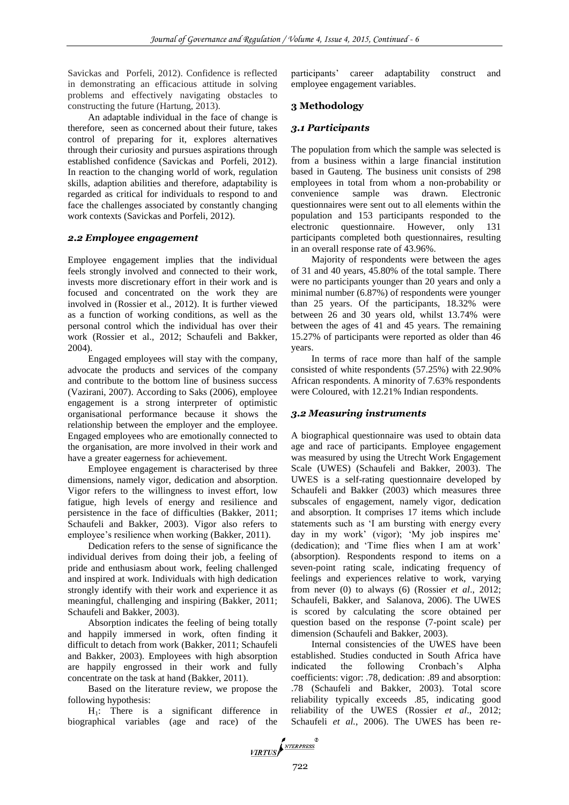Savickas and Porfeli, 2012). Confidence is reflected in demonstrating an efficacious attitude in solving problems and effectively navigating obstacles to constructing the future (Hartung, 2013).

An adaptable individual in the face of change is therefore, seen as concerned about their future, takes control of preparing for it, explores alternatives through their curiosity and pursues aspirations through established confidence (Savickas and Porfeli, 2012). In reaction to the changing world of work, regulation skills, adaption abilities and therefore, adaptability is regarded as critical for individuals to respond to and face the challenges associated by constantly changing work contexts (Savickas and Porfeli, 2012).

# *2.2 Employee engagement*

Employee engagement implies that the individual feels strongly involved and connected to their work, invests more discretionary effort in their work and is focused and concentrated on the work they are involved in (Rossier et al., 2012). It is further viewed as a function of working conditions, as well as the personal control which the individual has over their work (Rossier et al., 2012; Schaufeli and Bakker, 2004).

Engaged employees will stay with the company, advocate the products and services of the company and contribute to the bottom line of business success (Vazirani, 2007). According to Saks (2006), employee engagement is a strong interpreter of optimistic organisational performance because it shows the relationship between the employer and the employee. Engaged employees who are emotionally connected to the organisation, are more involved in their work and have a greater eagerness for achievement.

Employee engagement is characterised by three dimensions, namely vigor, dedication and absorption. Vigor refers to the willingness to invest effort, low fatigue, high levels of energy and resilience and persistence in the face of difficulties (Bakker, 2011; Schaufeli and Bakker, 2003). Vigor also refers to employee's resilience when working (Bakker, 2011).

Dedication refers to the sense of significance the individual derives from doing their job, a feeling of pride and enthusiasm about work, feeling challenged and inspired at work. Individuals with high dedication strongly identify with their work and experience it as meaningful, challenging and inspiring (Bakker, 2011; Schaufeli and Bakker, 2003).

Absorption indicates the feeling of being totally and happily immersed in work, often finding it difficult to detach from work (Bakker, 2011; Schaufeli and Bakker, 2003). Employees with high absorption are happily engrossed in their work and fully concentrate on the task at hand (Bakker, 2011).

Based on the literature review, we propose the following hypothesis:

 $H_1$ : There is a significant difference in biographical variables (age and race) of the

participants' career adaptability construct and employee engagement variables.

# **3 Methodology**

# *3.1 Participants*

The population from which the sample was selected is from a business within a large financial institution based in Gauteng. The business unit consists of 298 employees in total from whom a non-probability or convenience sample was drawn. Electronic questionnaires were sent out to all elements within the population and 153 participants responded to the electronic questionnaire. However, only 131 participants completed both questionnaires, resulting in an overall response rate of 43.96%.

Majority of respondents were between the ages of 31 and 40 years, 45.80% of the total sample. There were no participants younger than 20 years and only a minimal number (6.87%) of respondents were younger than 25 years. Of the participants, 18.32% were between 26 and 30 years old, whilst 13.74% were between the ages of 41 and 45 years. The remaining 15.27% of participants were reported as older than 46 years.

In terms of race more than half of the sample consisted of white respondents (57.25%) with 22.90% African respondents. A minority of 7.63% respondents were Coloured, with 12.21% Indian respondents.

# *3.2 Measuring instruments*

A biographical questionnaire was used to obtain data age and race of participants. Employee engagement was measured by using the Utrecht Work Engagement Scale (UWES) (Schaufeli and Bakker, 2003). The UWES is a self-rating questionnaire developed by Schaufeli and Bakker (2003) which measures three subscales of engagement, namely vigor, dedication and absorption. It comprises 17 items which include statements such as 'I am bursting with energy every day in my work' (vigor); 'My job inspires me' (dedication); and 'Time flies when I am at work' (absorption). Respondents respond to items on a seven-point rating scale, indicating frequency of feelings and experiences relative to work, varying from never (0) to always (6) (Rossier *et al*., 2012; Schaufeli, Bakker, and Salanova, 2006). The UWES is scored by calculating the score obtained per question based on the response (7-point scale) per dimension (Schaufeli and Bakker, 2003).

Internal consistencies of the UWES have been established. Studies conducted in South Africa have indicated the following Cronbach's Alpha coefficients: vigor: .78, dedication: .89 and absorption: .78 (Schaufeli and Bakker, 2003). Total score reliability typically exceeds .85, indicating good reliability of the UWES (Rossier *et al*., 2012; Schaufeli *et al.*, 2006). The UWES has been re-

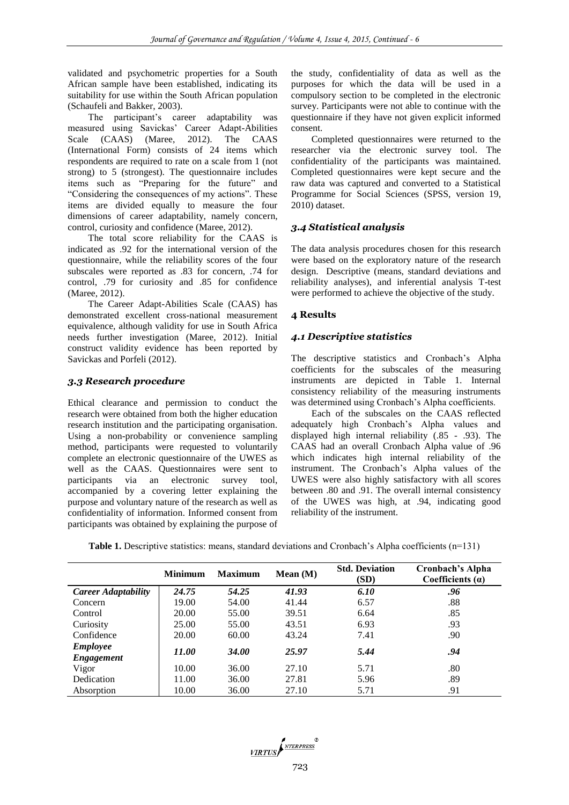validated and psychometric properties for a South African sample have been established, indicating its suitability for use within the South African population (Schaufeli and Bakker, 2003).

The participant's career adaptability was measured using Savickas' Career Adapt-Abilities Scale (CAAS) (Maree, 2012). The CAAS (International Form) consists of 24 items which respondents are required to rate on a scale from 1 (not strong) to 5 (strongest). The questionnaire includes items such as "Preparing for the future" and "Considering the consequences of my actions". These items are divided equally to measure the four dimensions of career adaptability, namely concern, control, curiosity and confidence (Maree, 2012).

The total score reliability for the CAAS is indicated as .92 for the international version of the questionnaire, while the reliability scores of the four subscales were reported as .83 for concern, .74 for control, .79 for curiosity and .85 for confidence (Maree, 2012).

The Career Adapt-Abilities Scale (CAAS) has demonstrated excellent cross-national measurement equivalence, although validity for use in South Africa needs further investigation (Maree, 2012). Initial construct validity evidence has been reported by Savickas and Porfeli (2012).

# *3.3 Research procedure*

Ethical clearance and permission to conduct the research were obtained from both the higher education research institution and the participating organisation. Using a non-probability or convenience sampling method, participants were requested to voluntarily complete an electronic questionnaire of the UWES as well as the CAAS. Questionnaires were sent to participants via an electronic survey tool, accompanied by a covering letter explaining the purpose and voluntary nature of the research as well as confidentiality of information. Informed consent from participants was obtained by explaining the purpose of

the study, confidentiality of data as well as the purposes for which the data will be used in a compulsory section to be completed in the electronic survey. Participants were not able to continue with the questionnaire if they have not given explicit informed consent.

Completed questionnaires were returned to the researcher via the electronic survey tool. The confidentiality of the participants was maintained. Completed questionnaires were kept secure and the raw data was captured and converted to a Statistical Programme for Social Sciences (SPSS, version 19, 2010) dataset.

# *3.4 Statistical analysis*

The data analysis procedures chosen for this research were based on the exploratory nature of the research design. Descriptive (means, standard deviations and reliability analyses), and inferential analysis T-test were performed to achieve the objective of the study.

# **4 Results**

# *4.1 Descriptive statistics*

The descriptive statistics and Cronbach's Alpha coefficients for the subscales of the measuring instruments are depicted in Table 1. Internal consistency reliability of the measuring instruments was determined using Cronbach's Alpha coefficients.

Each of the subscales on the CAAS reflected adequately high Cronbach's Alpha values and displayed high internal reliability (.85 - .93). The CAAS had an overall Cronbach Alpha value of .96 which indicates high internal reliability of the instrument. The Cronbach's Alpha values of the UWES were also highly satisfactory with all scores between .80 and .91. The overall internal consistency of the UWES was high, at .94, indicating good reliability of the instrument.

| <b>Table 1.</b> Descriptive statistics: means, standard deviations and Cronbach's Alpha coefficients $(n=131)$ |  |  |  |
|----------------------------------------------------------------------------------------------------------------|--|--|--|
|----------------------------------------------------------------------------------------------------------------|--|--|--|

|                                      | <b>Minimum</b> | <b>Maximum</b> | Mean(M) | <b>Std. Deviation</b><br>(SD) | Cronbach's Alpha<br>Coefficients $(a)$ |
|--------------------------------------|----------------|----------------|---------|-------------------------------|----------------------------------------|
| <b>Career Adaptability</b>           | 24.75          | 54.25          | 41.93   | 6.10                          | .96                                    |
| Concern                              | 19.00          | 54.00          | 41.44   | 6.57                          | .88                                    |
| Control                              | 20.00          | 55.00          | 39.51   | 6.64                          | .85                                    |
| Curiosity                            | 25.00          | 55.00          | 43.51   | 6.93                          | .93                                    |
| Confidence                           | 20.00          | 60.00          | 43.24   | 7.41                          | .90                                    |
| <b>Employee</b><br><b>Engagement</b> | 11.00          | <b>34.00</b>   | 25.97   | 5.44                          | .94                                    |
| Vigor                                | 10.00          | 36.00          | 27.10   | 5.71                          | .80                                    |
| Dedication                           | 11.00          | 36.00          | 27.81   | 5.96                          | .89                                    |
| Absorption                           | 10.00          | 36.00          | 27.10   | 5.71                          | .91                                    |

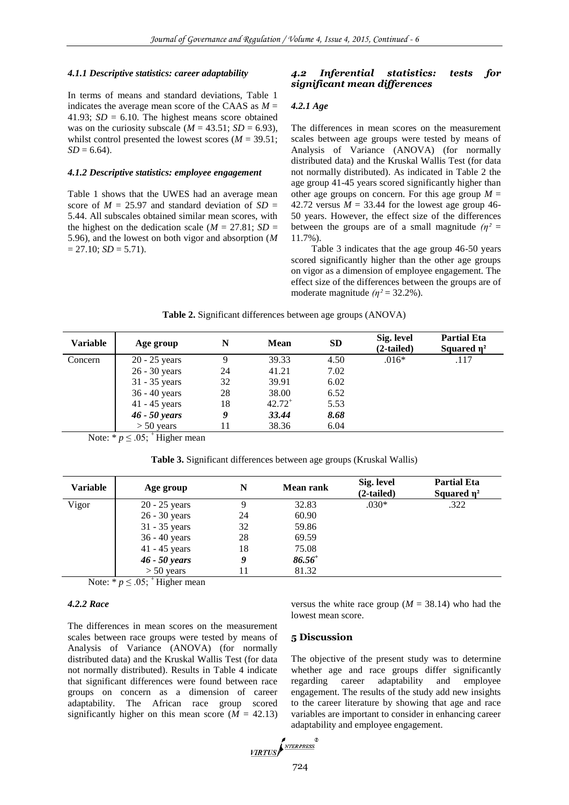#### *4.1.1 Descriptive statistics: career adaptability*

In terms of means and standard deviations, Table 1 indicates the average mean score of the CAAS as  $M =$ 41.93;  $SD = 6.10$ . The highest means score obtained was on the curiosity subscale ( $M = 43.51$ ;  $SD = 6.93$ ), whilst control presented the lowest scores  $(M = 39.51)$ ;  $SD = 6.64$ .

### *4.1.2 Descriptive statistics: employee engagement*

Table 1 shows that the UWES had an average mean score of  $M = 25.97$  and standard deviation of  $SD =$ 5.44. All subscales obtained similar mean scores, with the highest on the dedication scale ( $M = 27.81$ ; *SD =* 5.96), and the lowest on both vigor and absorption (*M*   $= 27.10$ ; *SD*  $= 5.71$ ).

# *4.2 Inferential statistics: tests for significant mean differences*

#### *4.2.1 Age*

The differences in mean scores on the measurement scales between age groups were tested by means of Analysis of Variance (ANOVA) (for normally distributed data) and the Kruskal Wallis Test (for data not normally distributed). As indicated in Table 2 the age group 41-45 years scored significantly higher than other age groups on concern. For this age group  $M =$ 42.72 versus  $M = 33.44$  for the lowest age group 46-50 years. However, the effect size of the differences between the groups are of a small magnitude  $(n^2 =$ 11.7%).

Table 3 indicates that the age group 46-50 years scored significantly higher than the other age groups on vigor as a dimension of employee engagement. The effect size of the differences between the groups are of moderate magnitude  $(n^2 = 32.2\%)$ .

| Table 2. Significant differences between age groups (ANOVA) |  |  |  |
|-------------------------------------------------------------|--|--|--|
|                                                             |  |  |  |

| Age group       | N  | <b>Mean</b> | <b>SD</b> | Sig. level<br>$(2-tailed)$ | <b>Partial Eta</b><br>Squared $\eta^2$ |
|-----------------|----|-------------|-----------|----------------------------|----------------------------------------|
| $20 - 25$ years | 9  | 39.33       | 4.50      | $.016*$                    | .117                                   |
| $26 - 30$ years | 24 | 41.21       | 7.02      |                            |                                        |
| 31 - 35 years   | 32 | 39.91       | 6.02      |                            |                                        |
| 36 - 40 years   | 28 | 38.00       | 6.52      |                            |                                        |
| $41 - 45$ years | 18 | $42.72^{+}$ | 5.53      |                            |                                        |
| $46 - 50$ years | 9  | 33.44       | 8.68      |                            |                                        |
| $> 50$ years    |    | 38.36       | 6.04      |                            |                                        |
|                 |    |             |           |                            |                                        |

Note:  $* p \leq .05$ ;  $*$  Higher mean

**Table 3.** Significant differences between age groups (Kruskal Wallis)

| <b>Variable</b> | Age group       | N  | <b>Mean rank</b> | Sig. level<br>$(2-tailed)$ | <b>Partial Eta</b><br>Squared $\eta^2$ |
|-----------------|-----------------|----|------------------|----------------------------|----------------------------------------|
| Vigor           | $20 - 25$ years | Q  | 32.83            | $.030*$                    | .322                                   |
|                 | 26 - 30 years   | 24 | 60.90            |                            |                                        |
|                 | 31 - 35 years   | 32 | 59.86            |                            |                                        |
|                 | 36 - 40 years   | 28 | 69.59            |                            |                                        |
|                 | $41 - 45$ years | 18 | 75.08            |                            |                                        |
|                 | $46 - 50$ years | 9  | $86.56^+$        |                            |                                        |
|                 | $> 50$ years    |    | 81.32            |                            |                                        |

Note: \*  $p \leq .05$ ; + Higher mean

# *4.2.2 Race*

The differences in mean scores on the measurement scales between race groups were tested by means of Analysis of Variance (ANOVA) (for normally distributed data) and the Kruskal Wallis Test (for data not normally distributed). Results in Table 4 indicate that significant differences were found between race groups on concern as a dimension of career adaptability. The African race group scored significantly higher on this mean score  $(M = 42.13)$ 

versus the white race group ( $M = 38.14$ ) who had the lowest mean score.

### **5 Discussion**

The objective of the present study was to determine whether age and race groups differ significantly regarding career adaptability and employee engagement. The results of the study add new insights to the career literature by showing that age and race variables are important to consider in enhancing career adaptability and employee engagement.

$$
\underbrace{\textit{VIRTUS}} \sum_{\textit{NTERPRESS}}^{\textit{NTERPRESS}}
$$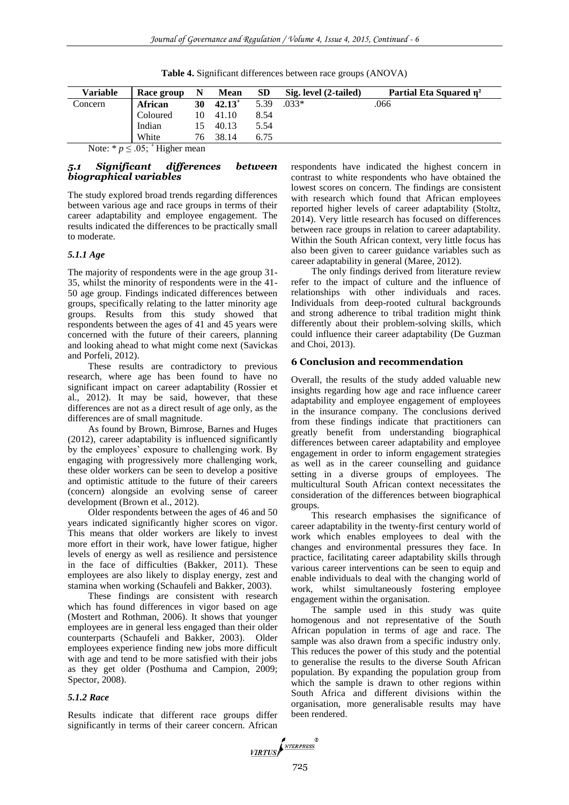| Race group | N   | Mean      | SD    | Sig. level (2-tailed) | Partial Eta Squared $\eta^2$ |
|------------|-----|-----------|-------|-----------------------|------------------------------|
| African    | 30  | $42.13^+$ | 5.39  | $.033*$               | .066                         |
| Coloured   | 10. |           | 8.54  |                       |                              |
| Indian     | 15  | 40.13     | 5.54  |                       |                              |
| White      | 76  | 38.14     | 6.75  |                       |                              |
|            |     |           | 41.10 |                       |                              |

**Table 4.** Significant differences between race groups (ANOVA)

Note: \*  $p \leq .05$ ;  $\overline{ }$  Higher mean

# *5.1 Significant differences between biographical variables*

The study explored broad trends regarding differences between various age and race groups in terms of their career adaptability and employee engagement. The results indicated the differences to be practically small to moderate.

# *5.1.1 Age*

The majority of respondents were in the age group 31- 35, whilst the minority of respondents were in the 41- 50 age group. Findings indicated differences between groups, specifically relating to the latter minority age groups. Results from this study showed that respondents between the ages of 41 and 45 years were concerned with the future of their careers, planning and looking ahead to what might come next (Savickas and Porfeli, 2012).

These results are contradictory to previous research, where age has been found to have no significant impact on career adaptability (Rossier et al., 2012). It may be said, however, that these differences are not as a direct result of age only, as the differences are of small magnitude.

As found by Brown, Bimrose, Barnes and Huges (2012), career adaptability is influenced significantly by the employees' exposure to challenging work. By engaging with progressively more challenging work, these older workers can be seen to develop a positive and optimistic attitude to the future of their careers (concern) alongside an evolving sense of career development (Brown et al., 2012).

Older respondents between the ages of 46 and 50 years indicated significantly higher scores on vigor. This means that older workers are likely to invest more effort in their work, have lower fatigue, higher levels of energy as well as resilience and persistence in the face of difficulties (Bakker, 2011). These employees are also likely to display energy, zest and stamina when working (Schaufeli and Bakker, 2003).

These findings are consistent with research which has found differences in vigor based on age (Mostert and Rothman, 2006). It shows that younger employees are in general less engaged than their older counterparts (Schaufeli and Bakker, 2003). Older employees experience finding new jobs more difficult with age and tend to be more satisfied with their jobs as they get older (Posthuma and Campion, 2009; Spector, 2008).

# *5.1.2 Race*

Results indicate that different race groups differ significantly in terms of their career concern. African respondents have indicated the highest concern in contrast to white respondents who have obtained the lowest scores on concern. The findings are consistent with research which found that African employees reported higher levels of career adaptability (Stoltz, 2014). Very little research has focused on differences between race groups in relation to career adaptability. Within the South African context, very little focus has also been given to career guidance variables such as career adaptability in general (Maree, 2012).

The only findings derived from literature review refer to the impact of culture and the influence of relationships with other individuals and races. Individuals from deep-rooted cultural backgrounds and strong adherence to tribal tradition might think differently about their problem-solving skills, which could influence their career adaptability (De Guzman and Choi, 2013).

# **6 Conclusion and recommendation**

Overall, the results of the study added valuable new insights regarding how age and race influence career adaptability and employee engagement of employees in the insurance company. The conclusions derived from these findings indicate that practitioners can greatly benefit from understanding biographical differences between career adaptability and employee engagement in order to inform engagement strategies as well as in the career counselling and guidance setting in a diverse groups of employees. The multicultural South African context necessitates the consideration of the differences between biographical groups.

This research emphasises the significance of career adaptability in the twenty-first century world of work which enables employees to deal with the changes and environmental pressures they face. In practice, facilitating career adaptability skills through various career interventions can be seen to equip and enable individuals to deal with the changing world of work, whilst simultaneously fostering employee engagement within the organisation.

The sample used in this study was quite homogenous and not representative of the South African population in terms of age and race. The sample was also drawn from a specific industry only. This reduces the power of this study and the potential to generalise the results to the diverse South African population. By expanding the population group from which the sample is drawn to other regions within South Africa and different divisions within the organisation, more generalisable results may have been rendered.